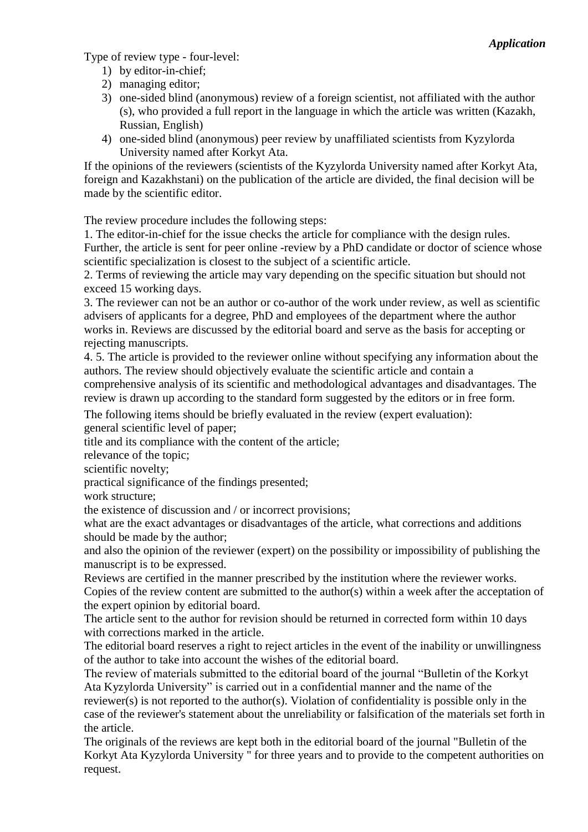Type of review type - four-level:

- 1) by editor-in-chief;
- 2) managing editor;
- 3) one-sided blind (anonymous) review of a foreign scientist, not affiliated with the author (s), who provided a full report in the language in which the article was written (Kazakh, Russian, English)
- 4) one-sided blind (anonymous) peer review by unaffiliated scientists from Kyzylorda University named after Korkyt Ata.

If the opinions of the reviewers (scientists of the Kyzylorda University named after Korkyt Ata, foreign and Kazakhstani) on the publication of the article are divided, the final decision will be made by the scientific editor.

The review procedure includes the following steps:

1. The editor-in-chief for the issue checks the article for compliance with the design rules. Further, the article is sent for peer online -review by a PhD candidate or doctor of science whose scientific specialization is closest to the subject of a scientific article.

2. Terms of reviewing the article may vary depending on the specific situation but should not exceed 15 working days.

3. The reviewer can not be an author or co-author of the work under review, as well as scientific advisers of applicants for a degree, PhD and employees of the department where the author works in. Reviews are discussed by the editorial board and serve as the basis for accepting or rejecting manuscripts.

4. 5. The article is provided to the reviewer online without specifying any information about the authors. The review should objectively evaluate the scientific article and contain a comprehensive analysis of its scientific and methodological advantages and disadvantages. The review is drawn up according to the standard form suggested by the editors or in free form.

The following items should be briefly evaluated in the review (expert evaluation): general scientific level of paper;

title and its compliance with the content of the article;

relevance of the topic;

scientific novelty;

practical significance of the findings presented;

work structure;

the existence of discussion and / or incorrect provisions;

what are the exact advantages or disadvantages of the article, what corrections and additions should be made by the author;

and also the opinion of the reviewer (expert) on the possibility or impossibility of publishing the manuscript is to be expressed.

Reviews are certified in the manner prescribed by the institution where the reviewer works. Copies of the review content are submitted to the author(s) within a week after the acceptation of the expert opinion by editorial board.

The article sent to the author for revision should be returned in corrected form within 10 days with corrections marked in the article.

The editorial board reserves a right to reject articles in the event of the inability or unwillingness of the author to take into account the wishes of the editorial board.

The review of materials submitted to the editorial board of the journal "Bulletin of the Korkyt Ata Kyzylorda University" is carried out in a confidential manner and the name of the reviewer(s) is not reported to the author(s). Violation of confidentiality is possible only in the case of the reviewer's statement about the unreliability or falsification of the materials set forth in the article.

The originals of the reviews are kept both in the editorial board of the journal "Bulletin of the Korkyt Ata Kyzylorda University " for three years and to provide to the competent authorities on request.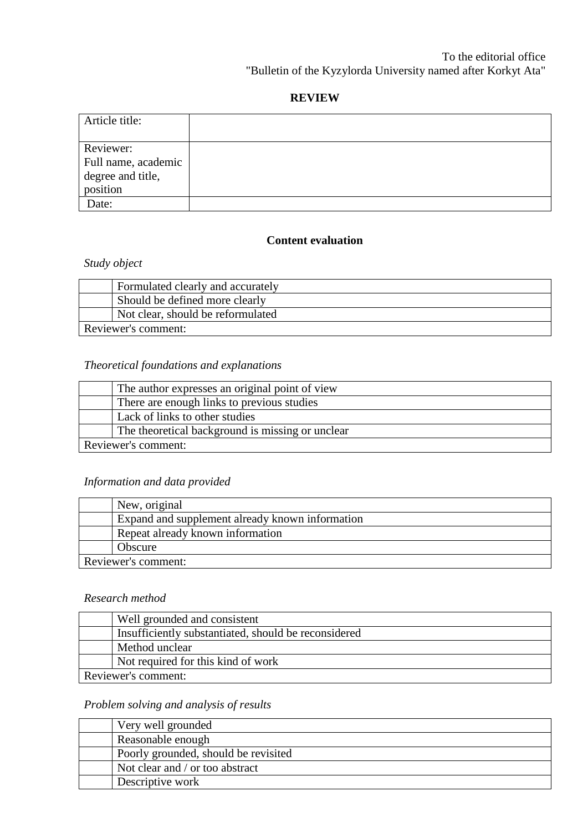### **REVIEW**

| Article title:      |  |
|---------------------|--|
|                     |  |
| Reviewer:           |  |
| Full name, academic |  |
| degree and title,   |  |
| position            |  |
| Date:               |  |

#### **Content evaluation**

# *Study object*

| Formulated clearly and accurately |  |
|-----------------------------------|--|
| Should be defined more clearly    |  |
| Not clear, should be reformulated |  |
| Reviewer's comment:               |  |

# *Theoretical foundations and explanations*

|                     | The author expresses an original point of view   |
|---------------------|--------------------------------------------------|
|                     | There are enough links to previous studies       |
|                     | Lack of links to other studies                   |
|                     | The theoretical background is missing or unclear |
| Reviewer's comment: |                                                  |

## *Information and data provided*

| New, original                                   |  |
|-------------------------------------------------|--|
| Expand and supplement already known information |  |
| Repeat already known information                |  |
| Obscure                                         |  |
| Reviewer's comment:                             |  |

#### *Research method*

| Well grounded and consistent                         |  |
|------------------------------------------------------|--|
| Insufficiently substantiated, should be reconsidered |  |
| Method unclear                                       |  |
| Not required for this kind of work                   |  |
| Reviewer's comment:                                  |  |

# *Problem solving and analysis of results*

| Very well grounded                   |
|--------------------------------------|
| Reasonable enough                    |
| Poorly grounded, should be revisited |
| Not clear and / or too abstract      |
| Descriptive work                     |